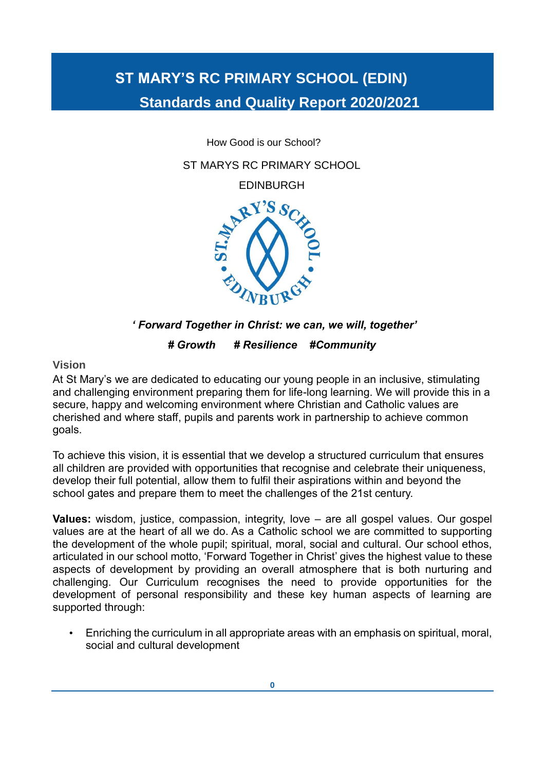# **ST MARY'S RC PRIMARY SCHOOL (EDIN) Standards and Quality Report 2020/2021**

How Good is our School?

ST MARYS RC PRIMARY SCHOOL

EDINBURGH



 *' Forward Together in Christ: we can, we will, together'*

*# Growth # Resilience #Community*

**Vision**

At St Mary's we are dedicated to educating our young people in an inclusive, stimulating and challenging environment preparing them for life-long learning. We will provide this in a secure, happy and welcoming environment where Christian and Catholic values are cherished and where staff, pupils and parents work in partnership to achieve common goals.

To achieve this vision, it is essential that we develop a structured curriculum that ensures all children are provided with opportunities that recognise and celebrate their uniqueness, develop their full potential, allow them to fulfil their aspirations within and beyond the school gates and prepare them to meet the challenges of the 21st century.

**Values:** wisdom, justice, compassion, integrity, love – are all gospel values. Our gospel values are at the heart of all we do. As a Catholic school we are committed to supporting the development of the whole pupil; spiritual, moral, social and cultural. Our school ethos, articulated in our school motto, 'Forward Together in Christ' gives the highest value to these aspects of development by providing an overall atmosphere that is both nurturing and challenging. Our Curriculum recognises the need to provide opportunities for the development of personal responsibility and these key human aspects of learning are supported through:

• Enriching the curriculum in all appropriate areas with an emphasis on spiritual, moral, social and cultural development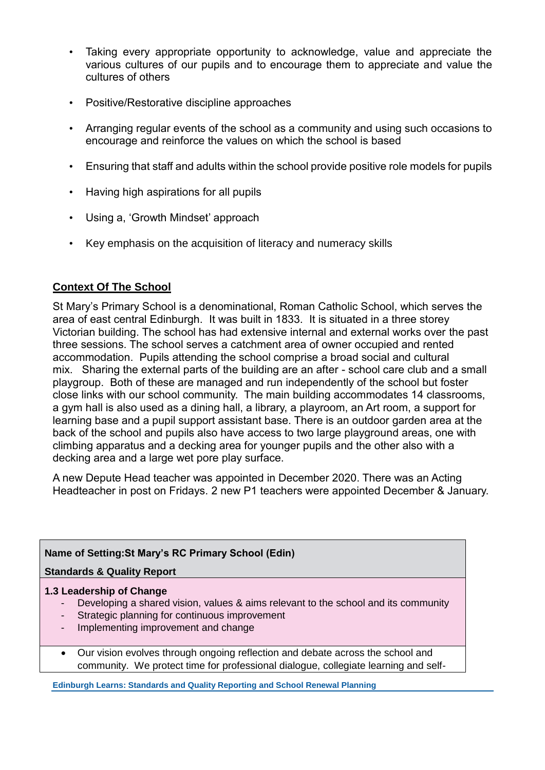- Taking every appropriate opportunity to acknowledge, value and appreciate the various cultures of our pupils and to encourage them to appreciate and value the cultures of others
- Positive/Restorative discipline approaches
- Arranging regular events of the school as a community and using such occasions to encourage and reinforce the values on which the school is based
- Ensuring that staff and adults within the school provide positive role models for pupils
- Having high aspirations for all pupils
- Using a, 'Growth Mindset' approach
- Key emphasis on the acquisition of literacy and numeracy skills

# **Context Of The School**

St Mary's Primary School is a denominational, Roman Catholic School, which serves the area of east central Edinburgh. It was built in 1833. It is situated in a three storey Victorian building. The school has had extensive internal and external works over the past three sessions. The school serves a catchment area of owner occupied and rented accommodation. Pupils attending the school comprise a broad social and cultural mix. Sharing the external parts of the building are an after - school care club and a small playgroup. Both of these are managed and run independently of the school but foster close links with our school community. The main building accommodates 14 classrooms, a gym hall is also used as a dining hall, a library, a playroom, an Art room, a support for learning base and a pupil support assistant base. There is an outdoor garden area at the back of the school and pupils also have access to two large playground areas, one with climbing apparatus and a decking area for younger pupils and the other also with a decking area and a large wet pore play surface.

A new Depute Head teacher was appointed in December 2020. There was an Acting Headteacher in post on Fridays. 2 new P1 teachers were appointed December & January.

## **Name of Setting:St Mary's RC Primary School (Edin)**

**Standards & Quality Report**

## **1.3 Leadership of Change**

- Developing a shared vision, values & aims relevant to the school and its community
- Strategic planning for continuous improvement
- Implementing improvement and change
- Our vision evolves through ongoing reflection and debate across the school and community. We protect time for professional dialogue, collegiate learning and self-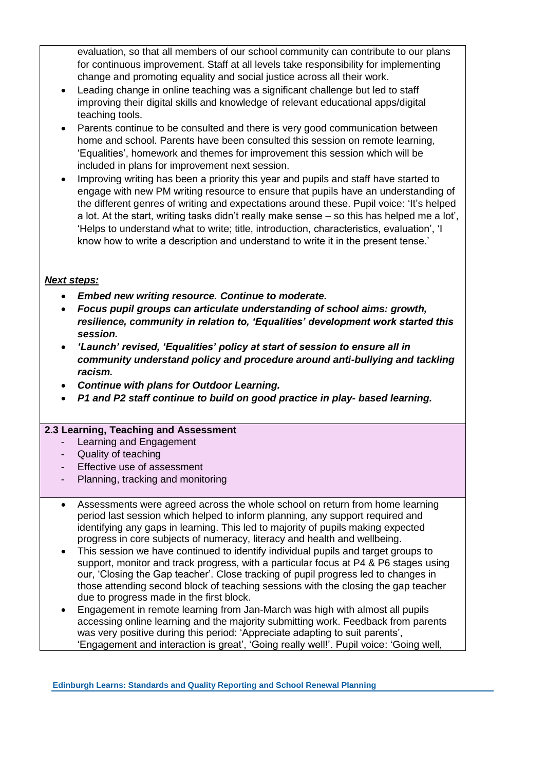evaluation, so that all members of our school community can contribute to our plans for continuous improvement. Staff at all levels take responsibility for implementing change and promoting equality and social justice across all their work.

- Leading change in online teaching was a significant challenge but led to staff improving their digital skills and knowledge of relevant educational apps/digital teaching tools.
- Parents continue to be consulted and there is very good communication between home and school. Parents have been consulted this session on remote learning, 'Equalities', homework and themes for improvement this session which will be included in plans for improvement next session.
- Improving writing has been a priority this year and pupils and staff have started to engage with new PM writing resource to ensure that pupils have an understanding of the different genres of writing and expectations around these. Pupil voice: 'It's helped a lot. At the start, writing tasks didn't really make sense – so this has helped me a lot', 'Helps to understand what to write; title, introduction, characteristics, evaluation', 'I know how to write a description and understand to write it in the present tense.'

#### *Next steps:*

- *Embed new writing resource. Continue to moderate.*
- *Focus pupil groups can articulate understanding of school aims: growth, resilience, community in relation to, 'Equalities' development work started this session.*
- *'Launch' revised, 'Equalities' policy at start of session to ensure all in community understand policy and procedure around anti-bullying and tackling racism.*
- *Continue with plans for Outdoor Learning.*
- *P1 and P2 staff continue to build on good practice in play- based learning.*

#### **2.3 Learning, Teaching and Assessment**

- Learning and Engagement
- Quality of teaching
- Effective use of assessment
- Planning, tracking and monitoring
- Assessments were agreed across the whole school on return from home learning period last session which helped to inform planning, any support required and identifying any gaps in learning. This led to majority of pupils making expected progress in core subjects of numeracy, literacy and health and wellbeing.
- This session we have continued to identify individual pupils and target groups to support, monitor and track progress, with a particular focus at P4 & P6 stages using our, 'Closing the Gap teacher'. Close tracking of pupil progress led to changes in those attending second block of teaching sessions with the closing the gap teacher due to progress made in the first block.
- Engagement in remote learning from Jan-March was high with almost all pupils accessing online learning and the majority submitting work. Feedback from parents was very positive during this period: 'Appreciate adapting to suit parents', 'Engagement and interaction is great', 'Going really well!'. Pupil voice: 'Going well,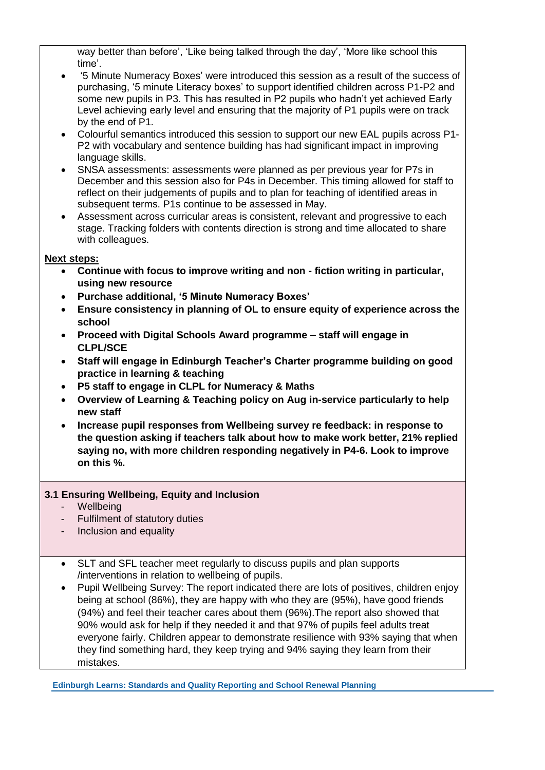way better than before', 'Like being talked through the day', 'More like school this time'.

- '5 Minute Numeracy Boxes' were introduced this session as a result of the success of purchasing, '5 minute Literacy boxes' to support identified children across P1-P2 and some new pupils in P3. This has resulted in P2 pupils who hadn't yet achieved Early Level achieving early level and ensuring that the majority of P1 pupils were on track by the end of P1.
- Colourful semantics introduced this session to support our new EAL pupils across P1- P2 with vocabulary and sentence building has had significant impact in improving language skills.
- SNSA assessments: assessments were planned as per previous year for P7s in December and this session also for P4s in December. This timing allowed for staff to reflect on their judgements of pupils and to plan for teaching of identified areas in subsequent terms. P1s continue to be assessed in May.
- Assessment across curricular areas is consistent, relevant and progressive to each stage. Tracking folders with contents direction is strong and time allocated to share with colleagues.

#### **Next steps:**

- **Continue with focus to improve writing and non - fiction writing in particular, using new resource**
- **Purchase additional, '5 Minute Numeracy Boxes'**
- **Ensure consistency in planning of OL to ensure equity of experience across the school**
- **Proceed with Digital Schools Award programme – staff will engage in CLPL/SCE**
- **Staff will engage in Edinburgh Teacher's Charter programme building on good practice in learning & teaching**
- **P5 staff to engage in CLPL for Numeracy & Maths**
- **Overview of Learning & Teaching policy on Aug in-service particularly to help new staff**
- **Increase pupil responses from Wellbeing survey re feedback: in response to the question asking if teachers talk about how to make work better, 21% replied saying no, with more children responding negatively in P4-6. Look to improve on this %.**

## **3.1 Ensuring Wellbeing, Equity and Inclusion**

- Wellbeing
- Fulfilment of statutory duties
- Inclusion and equality
- SLT and SFL teacher meet regularly to discuss pupils and plan supports /interventions in relation to wellbeing of pupils.
- Pupil Wellbeing Survey: The report indicated there are lots of positives, children enjoy being at school (86%), they are happy with who they are (95%), have good friends (94%) and feel their teacher cares about them (96%).The report also showed that 90% would ask for help if they needed it and that 97% of pupils feel adults treat everyone fairly. Children appear to demonstrate resilience with 93% saying that when they find something hard, they keep trying and 94% saying they learn from their mistakes.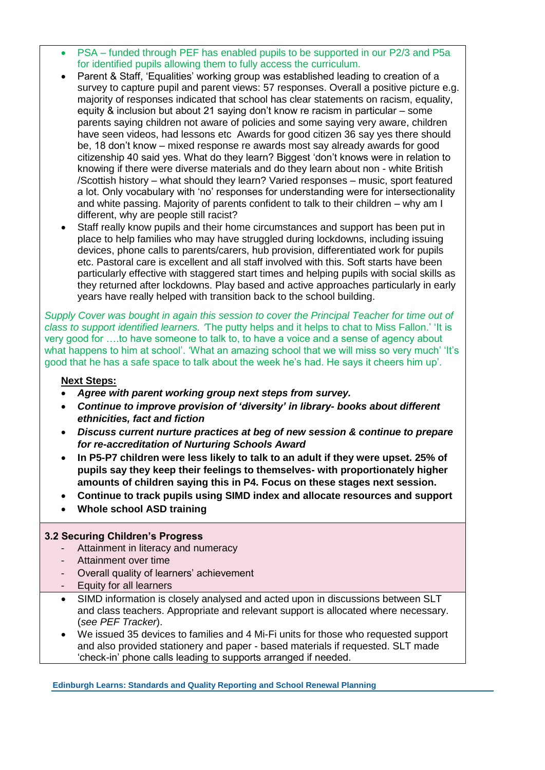- PSA funded through PEF has enabled pupils to be supported in our P2/3 and P5a for identified pupils allowing them to fully access the curriculum.
- Parent & Staff, 'Equalities' working group was established leading to creation of a survey to capture pupil and parent views: 57 responses. Overall a positive picture e.g. majority of responses indicated that school has clear statements on racism, equality, equity & inclusion but about 21 saying don't know re racism in particular – some parents saying children not aware of policies and some saying very aware, children have seen videos, had lessons etc Awards for good citizen 36 say yes there should be, 18 don't know – mixed response re awards most say already awards for good citizenship 40 said yes. What do they learn? Biggest 'don't knows were in relation to knowing if there were diverse materials and do they learn about non - white British /Scottish history – what should they learn? Varied responses – music, sport featured a lot. Only vocabulary with 'no' responses for understanding were for intersectionality and white passing. Majority of parents confident to talk to their children – why am I different, why are people still racist?
- Staff really know pupils and their home circumstances and support has been put in place to help families who may have struggled during lockdowns, including issuing devices, phone calls to parents/carers, hub provision, differentiated work for pupils etc. Pastoral care is excellent and all staff involved with this. Soft starts have been particularly effective with staggered start times and helping pupils with social skills as they returned after lockdowns. Play based and active approaches particularly in early years have really helped with transition back to the school building.

*Supply Cover was bought in again this session to cover the Principal Teacher for time out of class to support identified learners. '*The putty helps and it helps to chat to Miss Fallon.' 'It is very good for ….to have someone to talk to, to have a voice and a sense of agency about what happens to him at school'. 'What an amazing school that we will miss so very much' 'It's good that he has a safe space to talk about the week he's had. He says it cheers him up'.

#### **Next Steps:**

- *Agree with parent working group next steps from survey.*
- *Continue to improve provision of 'diversity' in library- books about different ethnicities, fact and fiction*
- *Discuss current nurture practices at beg of new session & continue to prepare for re-accreditation of Nurturing Schools Award*
- **In P5-P7 children were less likely to talk to an adult if they were upset. 25% of pupils say they keep their feelings to themselves- with proportionately higher amounts of children saying this in P4. Focus on these stages next session.**
- **Continue to track pupils using SIMD index and allocate resources and support**
- **Whole school ASD training**

#### **3.2 Securing Children's Progress**

- Attainment in literacy and numeracy
- Attainment over time
- Overall quality of learners' achievement
- Equity for all learners
- SIMD information is closely analysed and acted upon in discussions between SLT and class teachers. Appropriate and relevant support is allocated where necessary. (*see PEF Tracker*).
- We issued 35 devices to families and 4 Mi-Fi units for those who requested support and also provided stationery and paper - based materials if requested. SLT made 'check-in' phone calls leading to supports arranged if needed.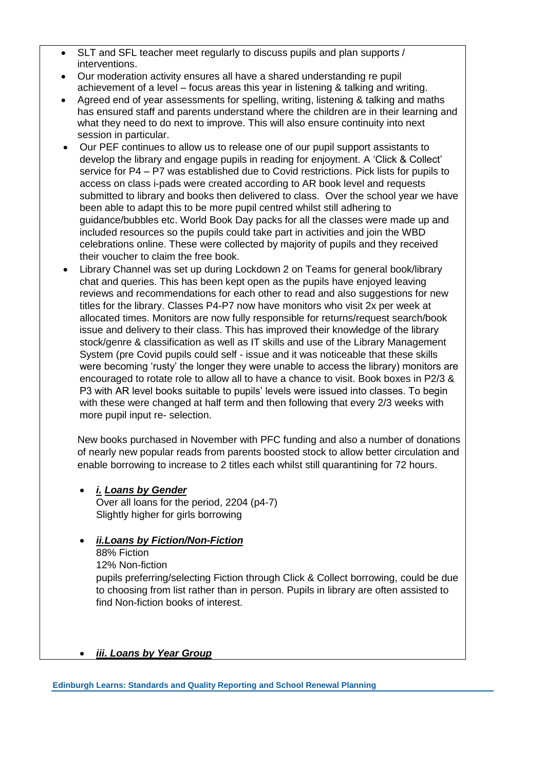- SLT and SFL teacher meet regularly to discuss pupils and plan supports / interventions.
- Our moderation activity ensures all have a shared understanding re pupil achievement of a level – focus areas this year in listening & talking and writing.
- Agreed end of year assessments for spelling, writing, listening & talking and maths has ensured staff and parents understand where the children are in their learning and what they need to do next to improve. This will also ensure continuity into next session in particular.
- Our PEF continues to allow us to release one of our pupil support assistants to develop the library and engage pupils in reading for enjoyment. A 'Click & Collect' service for P4 – P7 was established due to Covid restrictions. Pick lists for pupils to access on class i-pads were created according to AR book level and requests submitted to library and books then delivered to class. Over the school year we have been able to adapt this to be more pupil centred whilst still adhering to guidance/bubbles etc. World Book Day packs for all the classes were made up and included resources so the pupils could take part in activities and join the WBD celebrations online. These were collected by majority of pupils and they received their voucher to claim the free book.
- Library Channel was set up during Lockdown 2 on Teams for general book/library chat and queries. This has been kept open as the pupils have enjoyed leaving reviews and recommendations for each other to read and also suggestions for new titles for the library. Classes P4-P7 now have monitors who visit 2x per week at allocated times. Monitors are now fully responsible for returns/request search/book issue and delivery to their class. This has improved their knowledge of the library stock/genre & classification as well as IT skills and use of the Library Management System (pre Covid pupils could self - issue and it was noticeable that these skills were becoming 'rusty' the longer they were unable to access the library) monitors are encouraged to rotate role to allow all to have a chance to visit. Book boxes in P2/3 & P3 with AR level books suitable to pupils' levels were issued into classes. To begin with these were changed at half term and then following that every 2/3 weeks with more pupil input re- selection.

New books purchased in November with PFC funding and also a number of donations of nearly new popular reads from parents boosted stock to allow better circulation and enable borrowing to increase to 2 titles each whilst still quarantining for 72 hours.

• *i. Loans by Gender* Over all loans for the period, 2204 (p4-7) Slightly higher for girls borrowing

## • *ii.Loans by Fiction/Non-Fiction*

88% Fiction 12% Non-fiction pupils preferring/selecting Fiction through Click & Collect borrowing, could be due to choosing from list rather than in person. Pupils in library are often assisted to find Non-fiction books of interest.

#### • *iii. Loans by Year Group*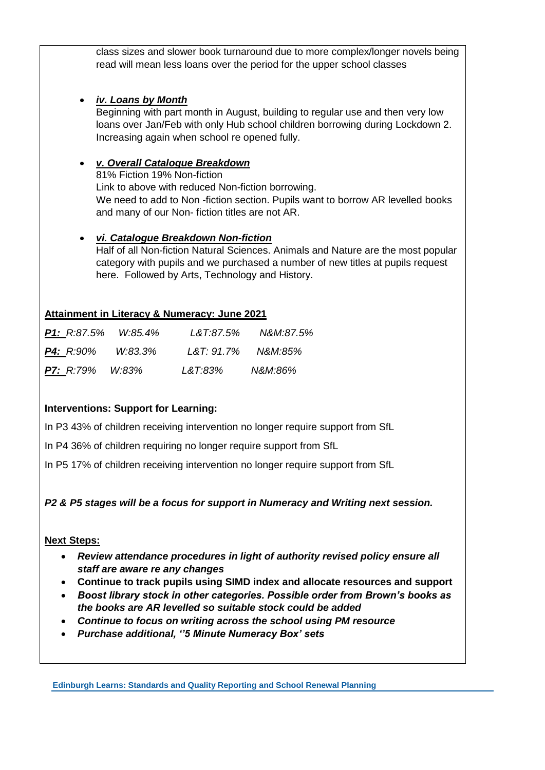class sizes and slower book turnaround due to more complex/longer novels being read will mean less loans over the period for the upper school classes

## • *iv. Loans by Month*

Beginning with part month in August, building to regular use and then very low loans over Jan/Feb with only Hub school children borrowing during Lockdown 2. Increasing again when school re opened fully.

## • *v. Overall Catalogue Breakdown*

81% Fiction 19% Non-fiction Link to above with reduced Non-fiction borrowing. We need to add to Non -fiction section. Pupils want to borrow AR levelled books and many of our Non- fiction titles are not AR.

## • *vi. Catalogue Breakdown Non-fiction*

Half of all Non-fiction Natural Sciences. Animals and Nature are the most popular category with pupils and we purchased a number of new titles at pupils request here. Followed by Arts, Technology and History.

## **Attainment in Literacy & Numeracy: June 2021**

| <b>P1:</b> R:87.5% W:85.4% |         | L&T:87.5%         | N&M:87.5% |
|----------------------------|---------|-------------------|-----------|
| <b>P4:</b> R:90%           | W:83.3% | L&T:91.7% N&M:85% |           |
| <b>P7:</b> R:79% W:83%     |         | L&T:83%           | N&M:86%   |

## **Interventions: Support for Learning:**

In P3 43% of children receiving intervention no longer require support from SfL

In P4 36% of children requiring no longer require support from SfL

In P5 17% of children receiving intervention no longer require support from SfL

## *P2 & P5 stages will be a focus for support in Numeracy and Writing next session.*

## **Next Steps:**

- *Review attendance procedures in light of authority revised policy ensure all staff are aware re any changes*
- **Continue to track pupils using SIMD index and allocate resources and support**
- *Boost library stock in other categories. Possible order from Brown's books as the books are AR levelled so suitable stock could be added*
- *Continue to focus on writing across the school using PM resource*
- *Purchase additional, ''5 Minute Numeracy Box' sets*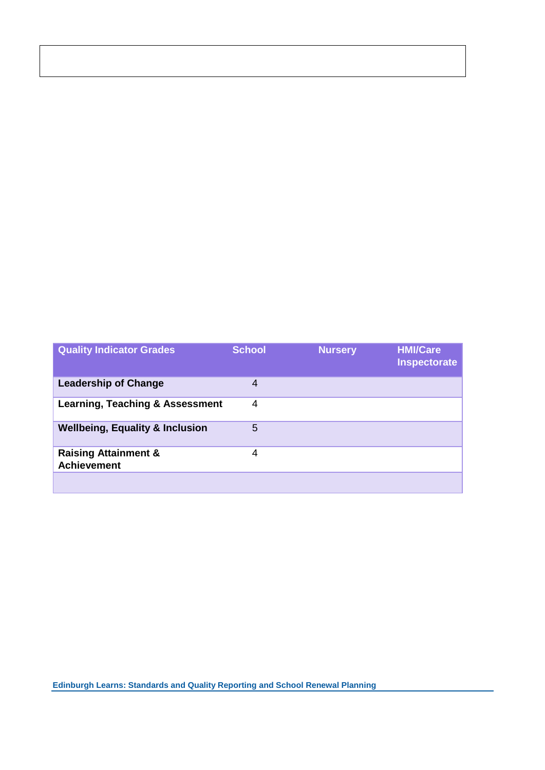| <b>Quality Indicator Grades</b>                       | <b>School</b> | <b>Nursery</b> | <b>HMI/Care</b><br><b>Inspectorate</b> |
|-------------------------------------------------------|---------------|----------------|----------------------------------------|
| <b>Leadership of Change</b>                           | 4             |                |                                        |
| <b>Learning, Teaching &amp; Assessment</b>            | 4             |                |                                        |
| <b>Wellbeing, Equality &amp; Inclusion</b>            | 5             |                |                                        |
| <b>Raising Attainment &amp;</b><br><b>Achievement</b> | 4             |                |                                        |
|                                                       |               |                |                                        |

#### **Edinburgh Learns: Standards and Quality Reporting and School Renewal Planning**

ı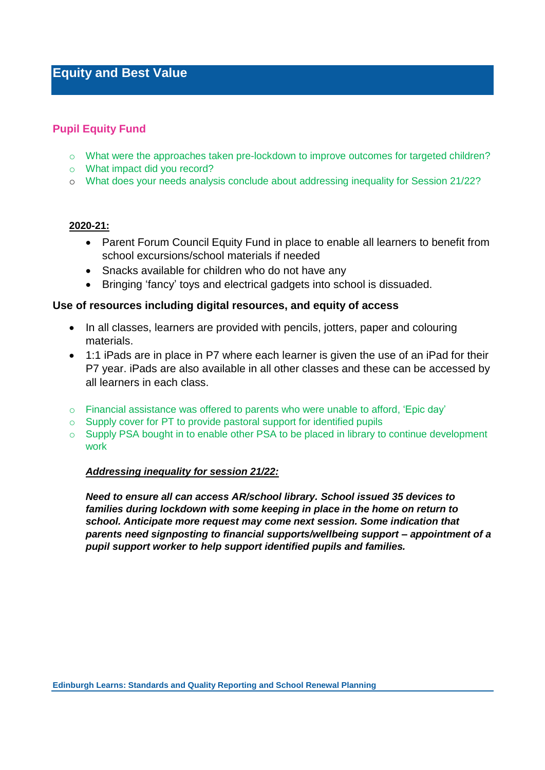# **Equity and Best Value**

#### **Pupil Equity Fund**

- o What were the approaches taken pre-lockdown to improve outcomes for targeted children?
- o What impact did you record?
- o What does your needs analysis conclude about addressing inequality for Session 21/22?

#### **2020-21:**

- Parent Forum Council Equity Fund in place to enable all learners to benefit from school excursions/school materials if needed
- Snacks available for children who do not have any
- Bringing 'fancy' toys and electrical gadgets into school is dissuaded.

#### **Use of resources including digital resources, and equity of access**

- In all classes, learners are provided with pencils, jotters, paper and colouring materials.
- 1:1 iPads are in place in P7 where each learner is given the use of an iPad for their P7 year. iPads are also available in all other classes and these can be accessed by all learners in each class.
- $\circ$  Financial assistance was offered to parents who were unable to afford, 'Epic day'
- o Supply cover for PT to provide pastoral support for identified pupils
- o Supply PSA bought in to enable other PSA to be placed in library to continue development work

#### *Addressing inequality for session 21/22:*

*Need to ensure all can access AR/school library. School issued 35 devices to families during lockdown with some keeping in place in the home on return to school. Anticipate more request may come next session. Some indication that parents need signposting to financial supports/wellbeing support – appointment of a pupil support worker to help support identified pupils and families.*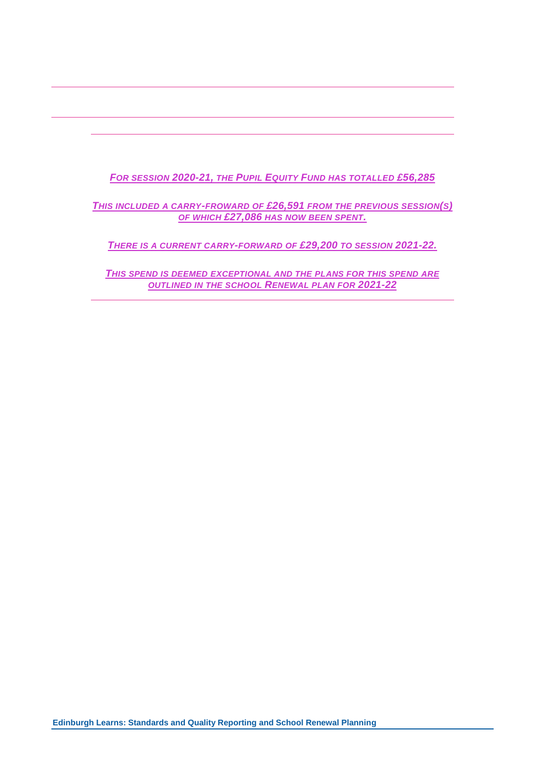## *FOR SESSION 2020-21, THE PUPIL EQUITY FUND HAS TOTALLED £56,285*

#### *THIS INCLUDED A CARRY-FROWARD OF £26,591 FROM THE PREVIOUS SESSION(S) OF WHICH £27,086 HAS NOW BEEN SPENT.*

*THERE IS A CURRENT CARRY-FORWARD OF £29,200 TO SESSION 2021-22.*

*THIS SPEND IS DEEMED EXCEPTIONAL AND THE PLANS FOR THIS SPEND ARE OUTLINED IN THE SCHOOL RENEWAL PLAN FOR 2021-22*